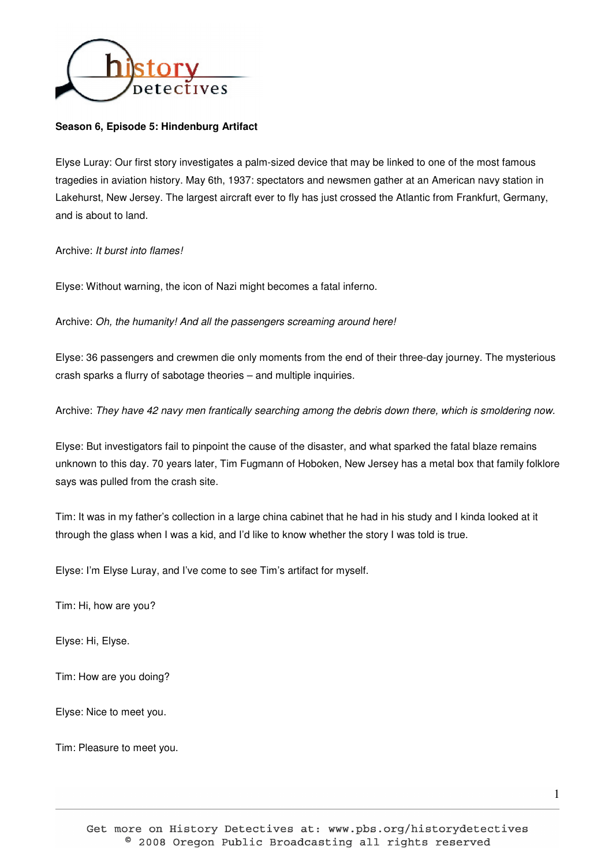

## **Season 6, Episode 5: Hindenburg Artifact**

Elyse Luray: Our first story investigates a palm-sized device that may be linked to one of the most famous tragedies in aviation history. May 6th, 1937: spectators and newsmen gather at an American navy station in Lakehurst, New Jersey. The largest aircraft ever to fly has just crossed the Atlantic from Frankfurt, Germany, and is about to land.

Archive: It burst into flames!

Elyse: Without warning, the icon of Nazi might becomes a fatal inferno.

Archive: Oh, the humanity! And all the passengers screaming around here!

Elyse: 36 passengers and crewmen die only moments from the end of their three-day journey. The mysterious crash sparks a flurry of sabotage theories – and multiple inquiries.

Archive: They have 42 navy men frantically searching among the debris down there, which is smoldering now.

Elyse: But investigators fail to pinpoint the cause of the disaster, and what sparked the fatal blaze remains unknown to this day. 70 years later, Tim Fugmann of Hoboken, New Jersey has a metal box that family folklore says was pulled from the crash site.

Tim: It was in my father's collection in a large china cabinet that he had in his study and I kinda looked at it through the glass when I was a kid, and I'd like to know whether the story I was told is true.

Elyse: I'm Elyse Luray, and I've come to see Tim's artifact for myself.

Tim: Hi, how are you?

Elyse: Hi, Elyse.

Tim: How are you doing?

Elyse: Nice to meet you.

Tim: Pleasure to meet you.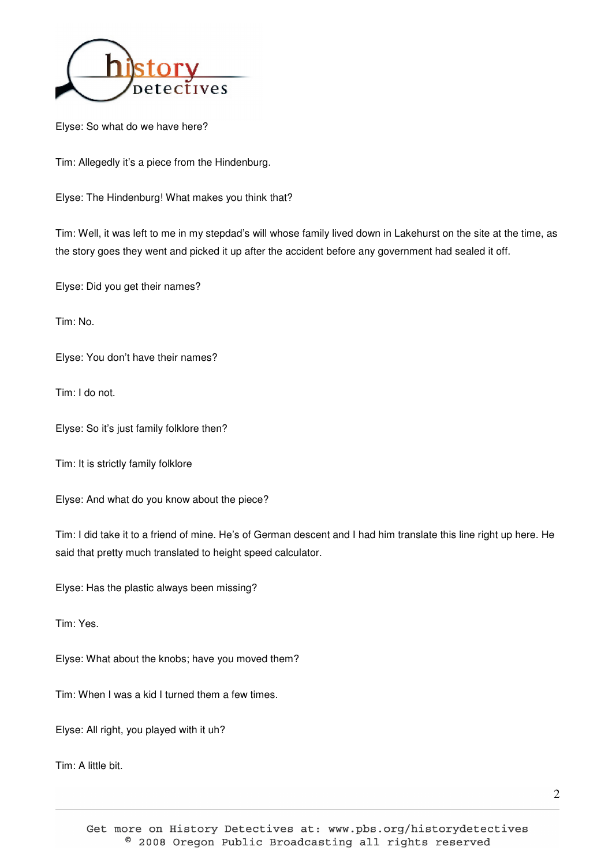

Elyse: So what do we have here?

Tim: Allegedly it's a piece from the Hindenburg.

Elyse: The Hindenburg! What makes you think that?

Tim: Well, it was left to me in my stepdad's will whose family lived down in Lakehurst on the site at the time, as the story goes they went and picked it up after the accident before any government had sealed it off.

Elyse: Did you get their names?

Tim: No.

Elyse: You don't have their names?

Tim: I do not.

Elyse: So it's just family folklore then?

Tim: It is strictly family folklore

Elyse: And what do you know about the piece?

Tim: I did take it to a friend of mine. He's of German descent and I had him translate this line right up here. He said that pretty much translated to height speed calculator.

Elyse: Has the plastic always been missing?

Tim: Yes.

Elyse: What about the knobs; have you moved them?

Tim: When I was a kid I turned them a few times.

Elyse: All right, you played with it uh?

Tim: A little bit.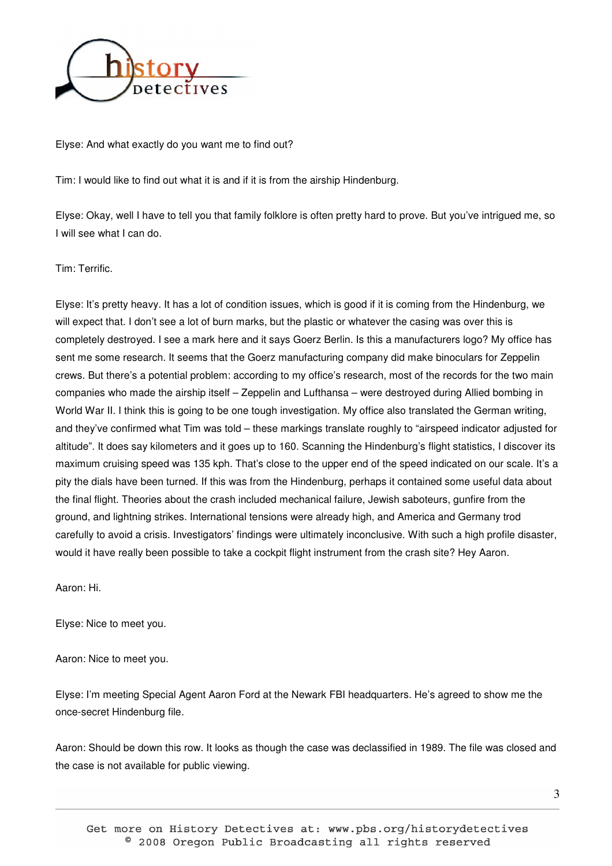

Elyse: And what exactly do you want me to find out?

Tim: I would like to find out what it is and if it is from the airship Hindenburg.

Elyse: Okay, well I have to tell you that family folklore is often pretty hard to prove. But you've intrigued me, so I will see what I can do.

Tim: Terrific.

Elyse: It's pretty heavy. It has a lot of condition issues, which is good if it is coming from the Hindenburg, we will expect that. I don't see a lot of burn marks, but the plastic or whatever the casing was over this is completely destroyed. I see a mark here and it says Goerz Berlin. Is this a manufacturers logo? My office has sent me some research. It seems that the Goerz manufacturing company did make binoculars for Zeppelin crews. But there's a potential problem: according to my office's research, most of the records for the two main companies who made the airship itself – Zeppelin and Lufthansa – were destroyed during Allied bombing in World War II. I think this is going to be one tough investigation. My office also translated the German writing, and they've confirmed what Tim was told – these markings translate roughly to "airspeed indicator adjusted for altitude". It does say kilometers and it goes up to 160. Scanning the Hindenburg's flight statistics, I discover its maximum cruising speed was 135 kph. That's close to the upper end of the speed indicated on our scale. It's a pity the dials have been turned. If this was from the Hindenburg, perhaps it contained some useful data about the final flight. Theories about the crash included mechanical failure, Jewish saboteurs, gunfire from the ground, and lightning strikes. International tensions were already high, and America and Germany trod carefully to avoid a crisis. Investigators' findings were ultimately inconclusive. With such a high profile disaster, would it have really been possible to take a cockpit flight instrument from the crash site? Hey Aaron.

Aaron: Hi.

Elyse: Nice to meet you.

Aaron: Nice to meet you.

Elyse: I'm meeting Special Agent Aaron Ford at the Newark FBI headquarters. He's agreed to show me the once-secret Hindenburg file.

Aaron: Should be down this row. It looks as though the case was declassified in 1989. The file was closed and the case is not available for public viewing.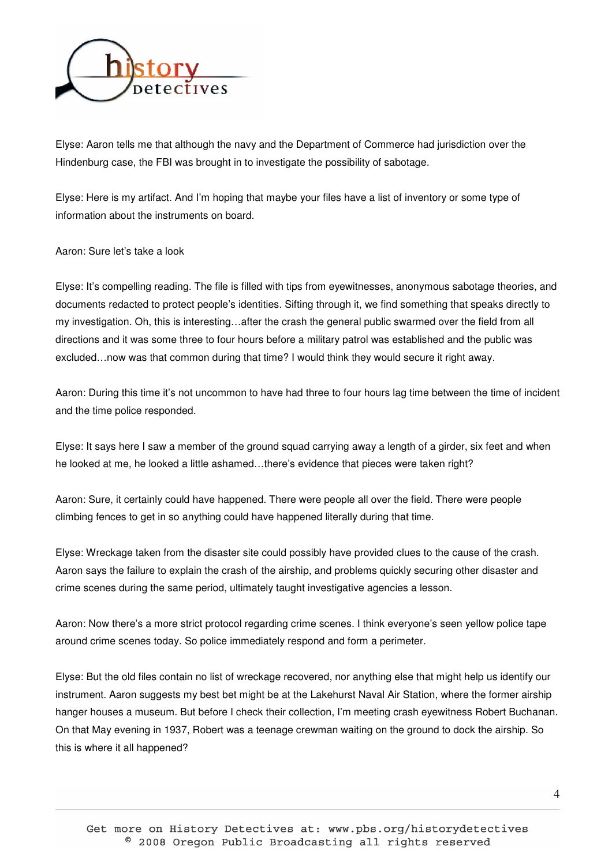

Elyse: Aaron tells me that although the navy and the Department of Commerce had jurisdiction over the Hindenburg case, the FBI was brought in to investigate the possibility of sabotage.

Elyse: Here is my artifact. And I'm hoping that maybe your files have a list of inventory or some type of information about the instruments on board.

Aaron: Sure let's take a look

Elyse: It's compelling reading. The file is filled with tips from eyewitnesses, anonymous sabotage theories, and documents redacted to protect people's identities. Sifting through it, we find something that speaks directly to my investigation. Oh, this is interesting…after the crash the general public swarmed over the field from all directions and it was some three to four hours before a military patrol was established and the public was excluded…now was that common during that time? I would think they would secure it right away.

Aaron: During this time it's not uncommon to have had three to four hours lag time between the time of incident and the time police responded.

Elyse: It says here I saw a member of the ground squad carrying away a length of a girder, six feet and when he looked at me, he looked a little ashamed...there's evidence that pieces were taken right?

Aaron: Sure, it certainly could have happened. There were people all over the field. There were people climbing fences to get in so anything could have happened literally during that time.

Elyse: Wreckage taken from the disaster site could possibly have provided clues to the cause of the crash. Aaron says the failure to explain the crash of the airship, and problems quickly securing other disaster and crime scenes during the same period, ultimately taught investigative agencies a lesson.

Aaron: Now there's a more strict protocol regarding crime scenes. I think everyone's seen yellow police tape around crime scenes today. So police immediately respond and form a perimeter.

Elyse: But the old files contain no list of wreckage recovered, nor anything else that might help us identify our instrument. Aaron suggests my best bet might be at the Lakehurst Naval Air Station, where the former airship hanger houses a museum. But before I check their collection, I'm meeting crash eyewitness Robert Buchanan. On that May evening in 1937, Robert was a teenage crewman waiting on the ground to dock the airship. So this is where it all happened?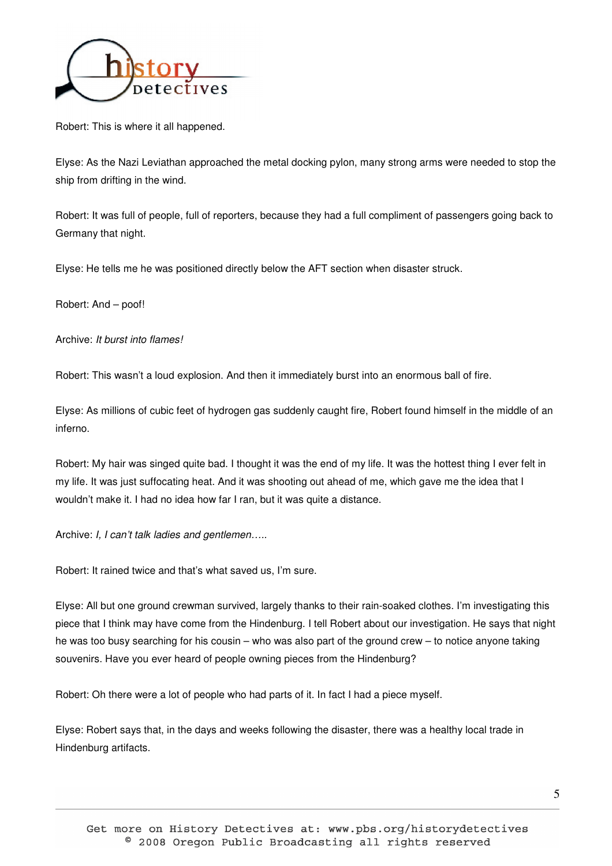

Robert: This is where it all happened.

Elyse: As the Nazi Leviathan approached the metal docking pylon, many strong arms were needed to stop the ship from drifting in the wind.

Robert: It was full of people, full of reporters, because they had a full compliment of passengers going back to Germany that night.

Elyse: He tells me he was positioned directly below the AFT section when disaster struck.

Robert: And – poof!

Archive: It burst into flames!

Robert: This wasn't a loud explosion. And then it immediately burst into an enormous ball of fire.

Elyse: As millions of cubic feet of hydrogen gas suddenly caught fire, Robert found himself in the middle of an inferno.

Robert: My hair was singed quite bad. I thought it was the end of my life. It was the hottest thing I ever felt in my life. It was just suffocating heat. And it was shooting out ahead of me, which gave me the idea that I wouldn't make it. I had no idea how far I ran, but it was quite a distance.

Archive: I, I can't talk ladies and gentlemen.....

Robert: It rained twice and that's what saved us, I'm sure.

Elyse: All but one ground crewman survived, largely thanks to their rain-soaked clothes. I'm investigating this piece that I think may have come from the Hindenburg. I tell Robert about our investigation. He says that night he was too busy searching for his cousin – who was also part of the ground crew – to notice anyone taking souvenirs. Have you ever heard of people owning pieces from the Hindenburg?

Robert: Oh there were a lot of people who had parts of it. In fact I had a piece myself.

Elyse: Robert says that, in the days and weeks following the disaster, there was a healthy local trade in Hindenburg artifacts.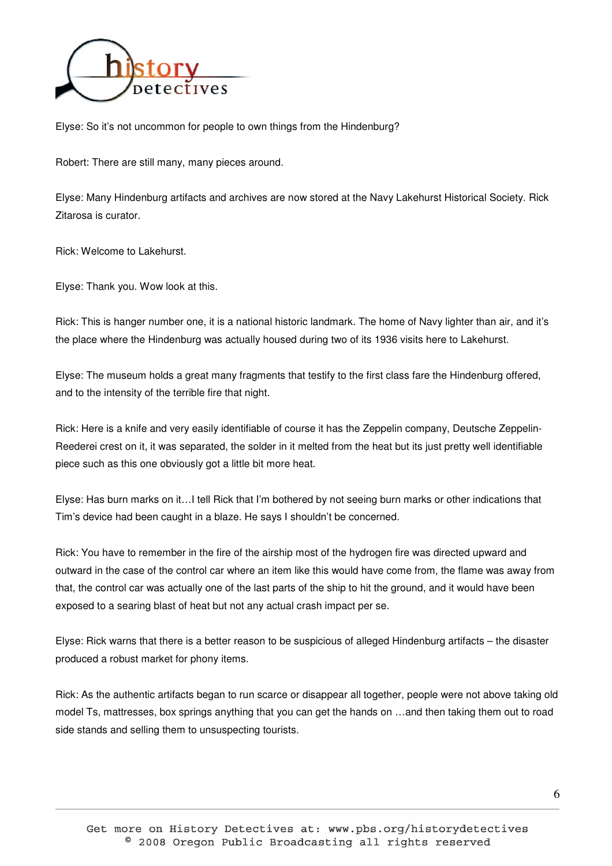

Elyse: So it's not uncommon for people to own things from the Hindenburg?

Robert: There are still many, many pieces around.

Elyse: Many Hindenburg artifacts and archives are now stored at the Navy Lakehurst Historical Society. Rick Zitarosa is curator.

Rick: Welcome to Lakehurst.

Elyse: Thank you. Wow look at this.

Rick: This is hanger number one, it is a national historic landmark. The home of Navy lighter than air, and it's the place where the Hindenburg was actually housed during two of its 1936 visits here to Lakehurst.

Elyse: The museum holds a great many fragments that testify to the first class fare the Hindenburg offered, and to the intensity of the terrible fire that night.

Rick: Here is a knife and very easily identifiable of course it has the Zeppelin company, Deutsche Zeppelin-Reederei crest on it, it was separated, the solder in it melted from the heat but its just pretty well identifiable piece such as this one obviously got a little bit more heat.

Elyse: Has burn marks on it…I tell Rick that I'm bothered by not seeing burn marks or other indications that Tim's device had been caught in a blaze. He says I shouldn't be concerned.

Rick: You have to remember in the fire of the airship most of the hydrogen fire was directed upward and outward in the case of the control car where an item like this would have come from, the flame was away from that, the control car was actually one of the last parts of the ship to hit the ground, and it would have been exposed to a searing blast of heat but not any actual crash impact per se.

Elyse: Rick warns that there is a better reason to be suspicious of alleged Hindenburg artifacts – the disaster produced a robust market for phony items.

Rick: As the authentic artifacts began to run scarce or disappear all together, people were not above taking old model Ts, mattresses, box springs anything that you can get the hands on …and then taking them out to road side stands and selling them to unsuspecting tourists.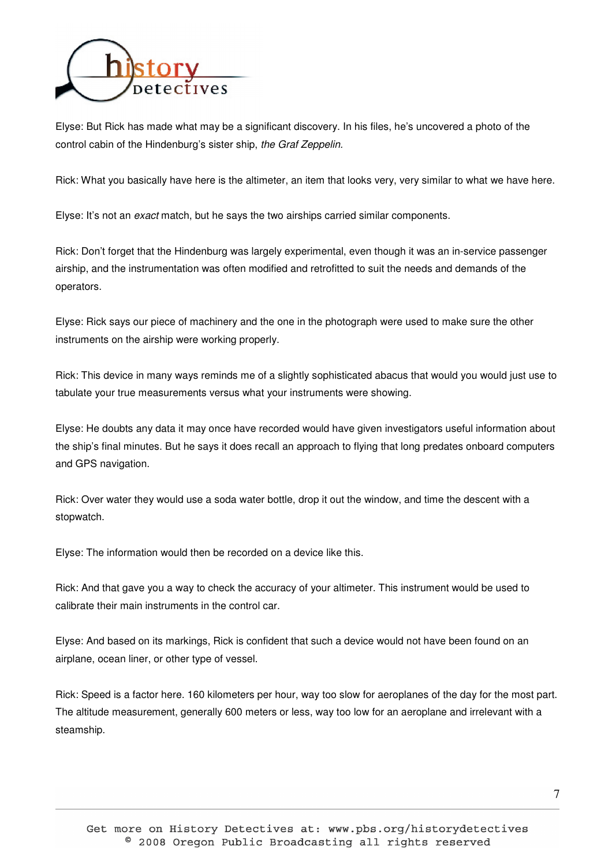

Elyse: But Rick has made what may be a significant discovery. In his files, he's uncovered a photo of the control cabin of the Hindenburg's sister ship, the Graf Zeppelin.

Rick: What you basically have here is the altimeter, an item that looks very, very similar to what we have here.

Elyse: It's not an exact match, but he says the two airships carried similar components.

Rick: Don't forget that the Hindenburg was largely experimental, even though it was an in-service passenger airship, and the instrumentation was often modified and retrofitted to suit the needs and demands of the operators.

Elyse: Rick says our piece of machinery and the one in the photograph were used to make sure the other instruments on the airship were working properly.

Rick: This device in many ways reminds me of a slightly sophisticated abacus that would you would just use to tabulate your true measurements versus what your instruments were showing.

Elyse: He doubts any data it may once have recorded would have given investigators useful information about the ship's final minutes. But he says it does recall an approach to flying that long predates onboard computers and GPS navigation.

Rick: Over water they would use a soda water bottle, drop it out the window, and time the descent with a stopwatch.

Elyse: The information would then be recorded on a device like this.

Rick: And that gave you a way to check the accuracy of your altimeter. This instrument would be used to calibrate their main instruments in the control car.

Elyse: And based on its markings, Rick is confident that such a device would not have been found on an airplane, ocean liner, or other type of vessel.

Rick: Speed is a factor here. 160 kilometers per hour, way too slow for aeroplanes of the day for the most part. The altitude measurement, generally 600 meters or less, way too low for an aeroplane and irrelevant with a steamship.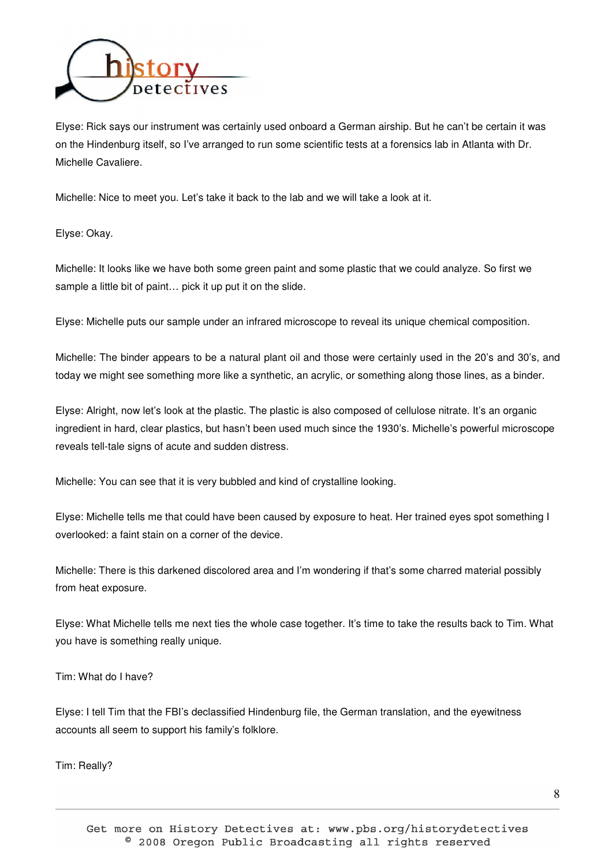

Elyse: Rick says our instrument was certainly used onboard a German airship. But he can't be certain it was on the Hindenburg itself, so I've arranged to run some scientific tests at a forensics lab in Atlanta with Dr. Michelle Cavaliere.

Michelle: Nice to meet you. Let's take it back to the lab and we will take a look at it.

Elyse: Okay.

Michelle: It looks like we have both some green paint and some plastic that we could analyze. So first we sample a little bit of paint… pick it up put it on the slide.

Elyse: Michelle puts our sample under an infrared microscope to reveal its unique chemical composition.

Michelle: The binder appears to be a natural plant oil and those were certainly used in the 20's and 30's, and today we might see something more like a synthetic, an acrylic, or something along those lines, as a binder.

Elyse: Alright, now let's look at the plastic. The plastic is also composed of cellulose nitrate. It's an organic ingredient in hard, clear plastics, but hasn't been used much since the 1930's. Michelle's powerful microscope reveals tell-tale signs of acute and sudden distress.

Michelle: You can see that it is very bubbled and kind of crystalline looking.

Elyse: Michelle tells me that could have been caused by exposure to heat. Her trained eyes spot something I overlooked: a faint stain on a corner of the device.

Michelle: There is this darkened discolored area and I'm wondering if that's some charred material possibly from heat exposure.

Elyse: What Michelle tells me next ties the whole case together. It's time to take the results back to Tim. What you have is something really unique.

Tim: What do I have?

Elyse: I tell Tim that the FBI's declassified Hindenburg file, the German translation, and the eyewitness accounts all seem to support his family's folklore.

Tim: Really?